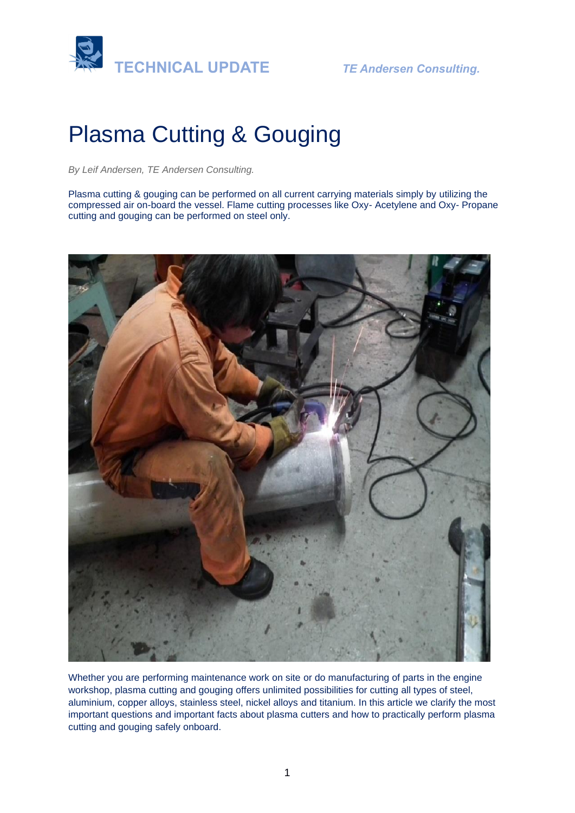

# Plasma Cutting & Gouging

*By Leif Andersen, TE Andersen Consulting.* 

Plasma cutting & gouging can be performed on all current carrying materials simply by utilizing the compressed air on-board the vessel. Flame cutting processes like Oxy- Acetylene and Oxy- Propane cutting and gouging can be performed on steel only.



Whether you are performing maintenance work on site or do manufacturing of parts in the engine workshop, plasma cutting and gouging offers unlimited possibilities for cutting all types of steel, aluminium, copper alloys, stainless steel, nickel alloys and titanium. In this article we clarify the most important questions and important facts about plasma cutters and how to practically perform plasma cutting and gouging safely onboard.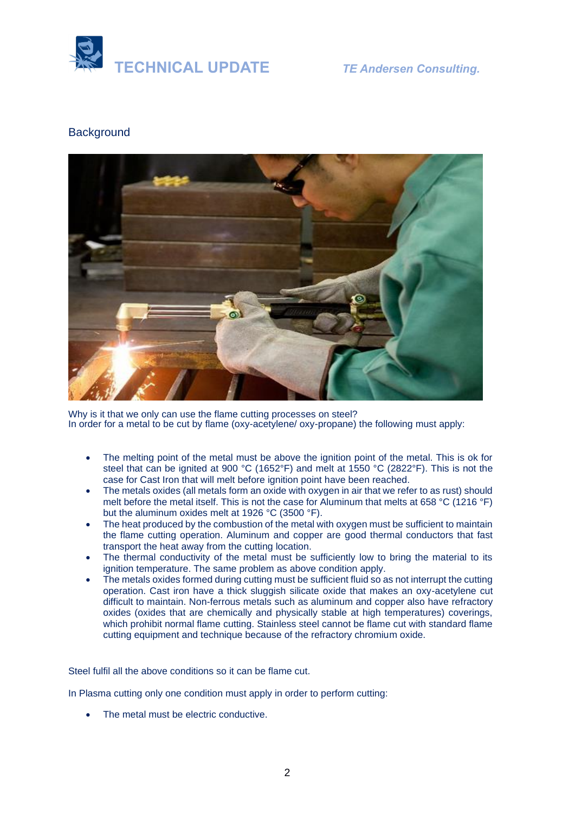

# **Background**



Why is it that we only can use the flame cutting processes on steel? In order for a metal to be cut by flame (oxy-acetylene/ oxy-propane) the following must apply:

- The melting point of the metal must be above the ignition point of the metal. This is ok for steel that can be ignited at 900 °C (1652°F) and melt at 1550 °C (2822°F). This is not the case for Cast Iron that will melt before ignition point have been reached.
- The metals oxides (all metals form an oxide with oxygen in air that we refer to as rust) should melt before the metal itself. This is not the case for Aluminum that melts at 658 °C (1216 °F) but the aluminum oxides melt at 1926 °C (3500 °F).
- The heat produced by the combustion of the metal with oxygen must be sufficient to maintain the flame cutting operation. Aluminum and copper are good thermal conductors that fast transport the heat away from the cutting location.
- The thermal conductivity of the metal must be sufficiently low to bring the material to its ignition temperature. The same problem as above condition apply.
- The metals oxides formed during cutting must be sufficient fluid so as not interrupt the cutting operation. Cast iron have a thick sluggish silicate oxide that makes an oxy-acetylene cut difficult to maintain. Non-ferrous metals such as aluminum and copper also have refractory oxides (oxides that are chemically and physically stable at high temperatures) coverings, which prohibit normal flame cutting. Stainless steel cannot be flame cut with standard flame cutting equipment and technique because of the refractory chromium oxide.

Steel fulfil all the above conditions so it can be flame cut.

In Plasma cutting only one condition must apply in order to perform cutting:

• The metal must be electric conductive.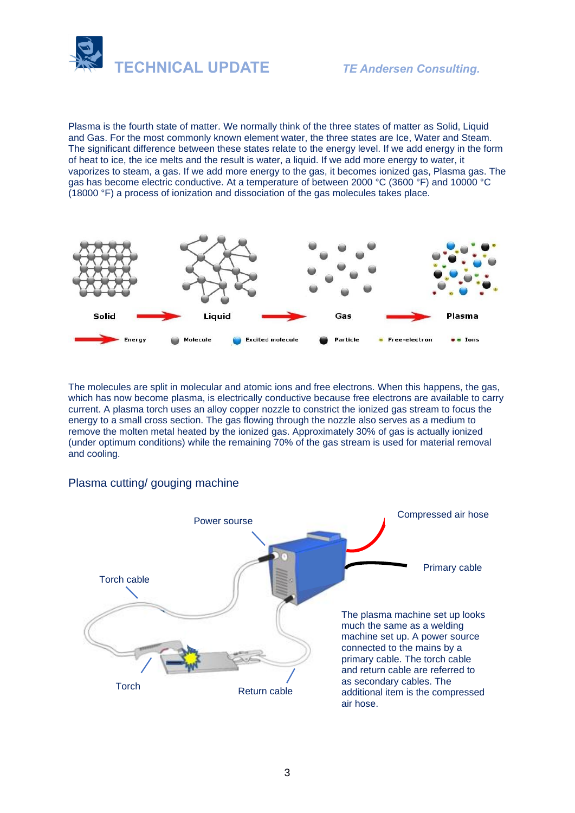



Plasma is the fourth state of matter. We normally think of the three states of matter as Solid, Liquid and Gas. For the most commonly known element water, the three states are Ice, Water and Steam. The significant difference between these states relate to the energy level. If we add energy in the form of heat to ice, the ice melts and the result is water, a liquid. If we add more energy to water, it vaporizes to steam, a gas. If we add more energy to the gas, it becomes ionized gas, Plasma gas. The gas has become electric conductive. At a temperature of between 2000 °C (3600 °F) and 10000 °C (18000 °F) a process of ionization and dissociation of the gas molecules takes place.



The molecules are split in molecular and atomic ions and free electrons. When this happens, the gas, which has now become plasma, is electrically conductive because free electrons are available to carry current. A plasma torch uses an alloy copper nozzle to constrict the ionized gas stream to focus the energy to a small cross section. The gas flowing through the nozzle also serves as a medium to remove the molten metal heated by the ionized gas. Approximately 30% of gas is actually ionized (under optimum conditions) while the remaining 70% of the gas stream is used for material removal and cooling.

#### Plasma cutting/ gouging machine

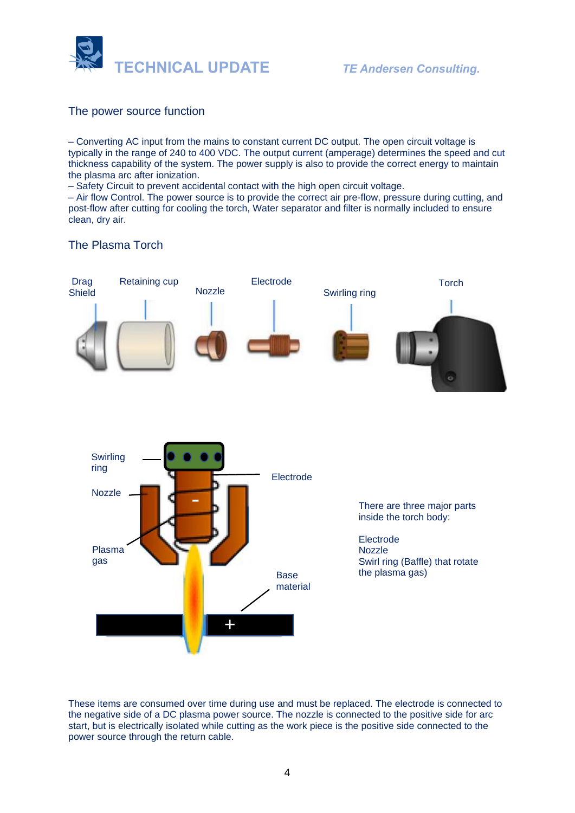

# The power source function

– Converting AC input from the mains to constant current DC output. The open circuit voltage is typically in the range of 240 to 400 VDC. The output current (amperage) determines the speed and cut thickness capability of the system. The power supply is also to provide the correct energy to maintain the plasma arc after ionization.

– Safety Circuit to prevent accidental contact with the high open circuit voltage.

– Air flow Control. The power source is to provide the correct air pre-flow, pressure during cutting, and post-flow after cutting for cooling the torch, Water separator and filter is normally included to ensure clean, dry air.

# The Plasma Torch



These items are consumed over time during use and must be replaced. The electrode is connected to the negative side of a DC plasma power source. The nozzle is connected to the positive side for arc start, but is electrically isolated while cutting as the work piece is the positive side connected to the power source through the return cable.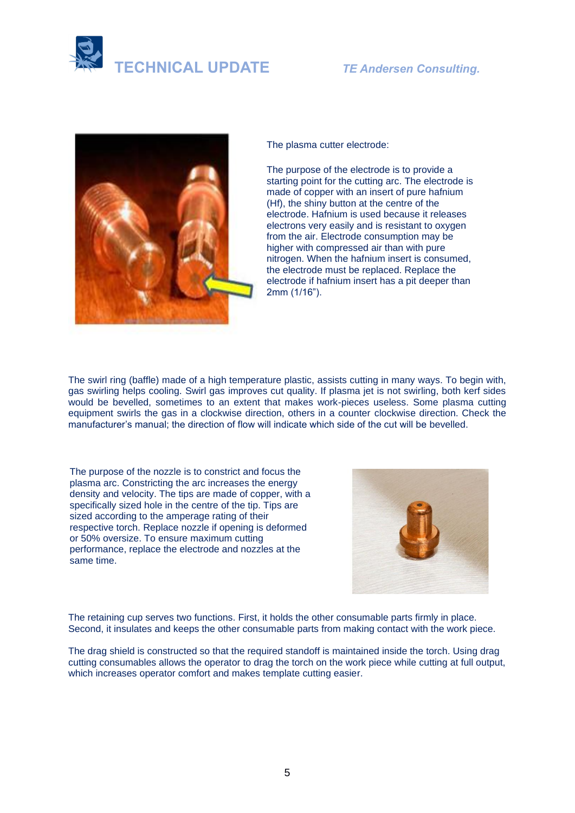



The plasma cutter electrode:

The purpose of the electrode is to provide a starting point for the cutting arc. The electrode is made of copper with an insert of pure hafnium (Hf), the shiny button at the centre of the electrode. Hafnium is used because it releases electrons very easily and is resistant to oxygen from the air. Electrode consumption may be higher with compressed air than with pure nitrogen. When the hafnium insert is consumed, the electrode must be replaced. Replace the electrode if hafnium insert has a pit deeper than 2mm (1/16").

The swirl ring (baffle) made of a high temperature plastic, assists cutting in many ways. To begin with, gas swirling helps cooling. Swirl gas improves cut quality. If plasma jet is not swirling, both kerf sides would be bevelled, sometimes to an extent that makes work-pieces useless. Some plasma cutting equipment swirls the gas in a clockwise direction, others in a counter clockwise direction. Check the manufacturer's manual; the direction of flow will indicate which side of the cut will be bevelled.

The purpose of the nozzle is to constrict and focus the plasma arc. Constricting the arc increases the energy density and velocity. The tips are made of copper, with a specifically sized hole in the centre of the tip. Tips are sized according to the amperage rating of their respective torch. Replace nozzle if opening is deformed or 50% oversize. To ensure maximum cutting performance, replace the electrode and nozzles at the same time.



The retaining cup serves two functions. First, it holds the other consumable parts firmly in place. Second, it insulates and keeps the other consumable parts from making contact with the work piece.

The drag shield is constructed so that the required standoff is maintained inside the torch. Using drag cutting consumables allows the operator to drag the torch on the work piece while cutting at full output, which increases operator comfort and makes template cutting easier.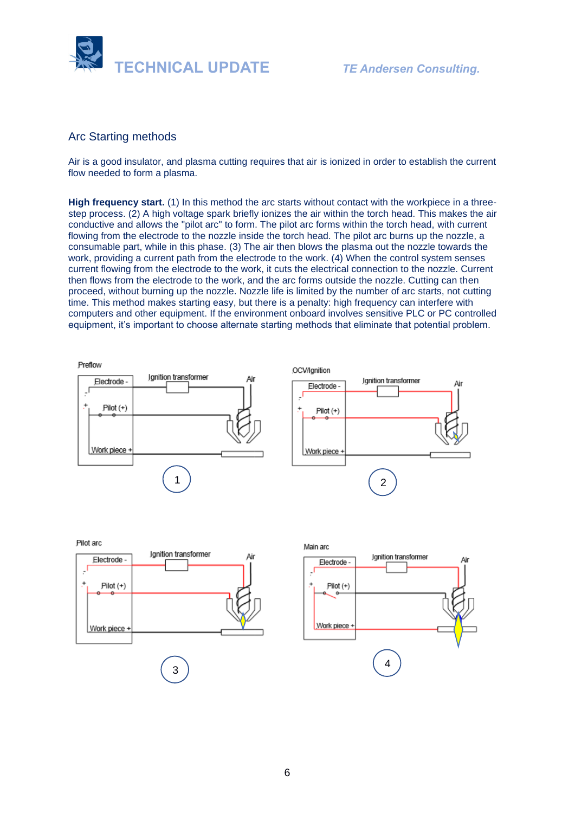

## Arc Starting methods

Air is a good insulator, and plasma cutting requires that air is ionized in order to establish the current flow needed to form a plasma.

**High frequency start.** (1) In this method the arc starts without contact with the workpiece in a threestep process. (2) A high voltage spark briefly ionizes the air within the torch head. This makes the air conductive and allows the "pilot arc" to form. The pilot arc forms within the torch head, with current flowing from the electrode to the nozzle inside the torch head. The pilot arc burns up the nozzle, a consumable part, while in this phase. (3) The air then blows the plasma out the nozzle towards the work, providing a current path from the electrode to the work. (4) When the control system senses current flowing from the electrode to the work, it cuts the electrical connection to the nozzle. Current then flows from the electrode to the work, and the arc forms outside the nozzle. Cutting can then proceed, without burning up the nozzle. Nozzle life is limited by the number of arc starts, not cutting time. This method makes starting easy, but there is a penalty: high frequency can interfere with computers and other equipment. If the environment onboard involves sensitive PLC or PC controlled equipment, it's important to choose alternate starting methods that eliminate that potential problem.

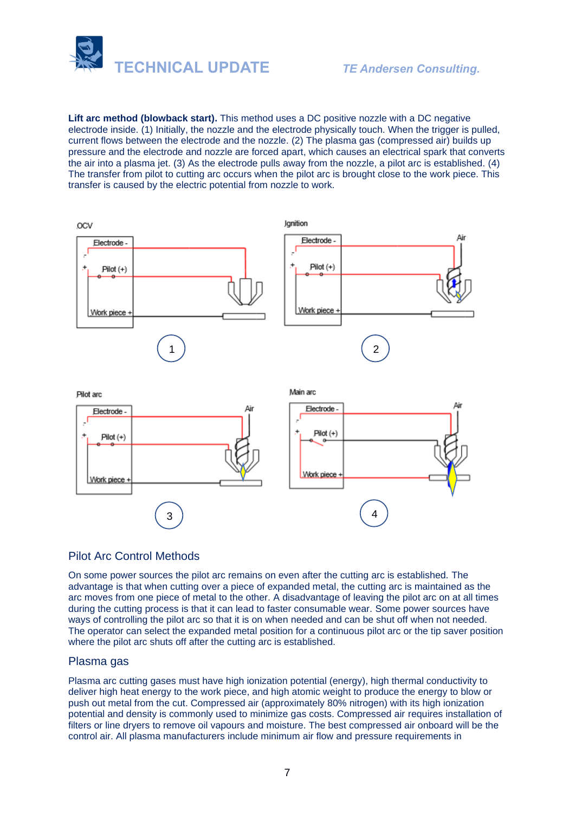

**Lift arc method (blowback start).** This method uses a DC positive nozzle with a DC negative electrode inside. (1) Initially, the nozzle and the electrode physically touch. When the trigger is pulled, current flows between the electrode and the nozzle. (2) The plasma gas (compressed air) builds up pressure and the electrode and nozzle are forced apart, which causes an electrical spark that converts the air into a plasma jet. (3) As the electrode pulls away from the nozzle, a pilot arc is established. (4) The transfer from pilot to cutting arc occurs when the pilot arc is brought close to the work piece. This transfer is caused by the electric potential from nozzle to work.



# Pilot Arc Control Methods

On some power sources the pilot arc remains on even after the cutting arc is established. The advantage is that when cutting over a piece of expanded metal, the cutting arc is maintained as the arc moves from one piece of metal to the other. A disadvantage of leaving the pilot arc on at all times during the cutting process is that it can lead to faster consumable wear. Some power sources have ways of controlling the pilot arc so that it is on when needed and can be shut off when not needed. The operator can select the expanded metal position for a continuous pilot arc or the tip saver position where the pilot arc shuts off after the cutting arc is established.

### Plasma gas

Plasma arc cutting gases must have high ionization potential (energy), high thermal conductivity to deliver high heat energy to the work piece, and high atomic weight to produce the energy to blow or push out metal from the cut. Compressed air (approximately 80% nitrogen) with its high ionization potential and density is commonly used to minimize gas costs. Compressed air requires installation of filters or line dryers to remove oil vapours and moisture. The best compressed air onboard will be the control air. All plasma manufacturers include minimum air flow and pressure requirements in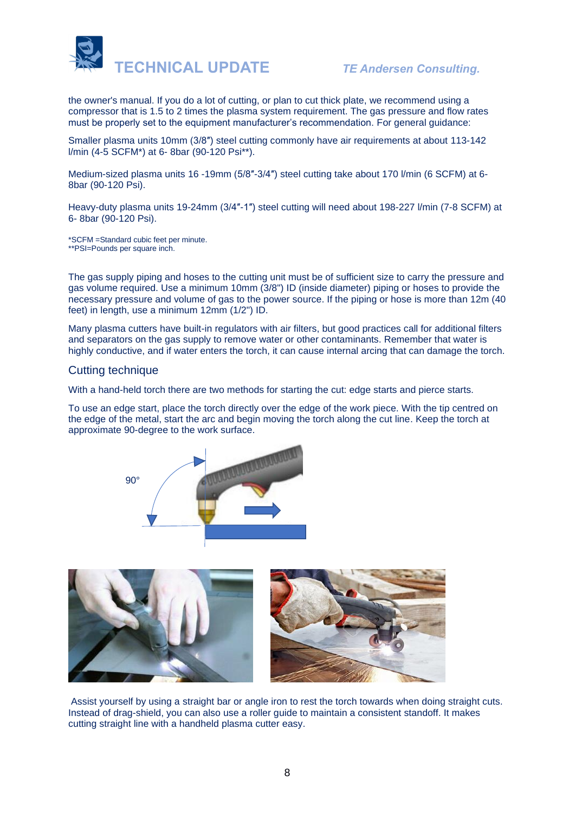

the owner's manual. If you do a lot of cutting, or plan to cut thick plate, we recommend using a compressor that is 1.5 to 2 times the plasma system requirement. The gas pressure and flow rates must be properly set to the equipment manufacturer's recommendation. For general guidance:

Smaller plasma units 10mm (3/8″) steel cutting commonly have air requirements at about 113-142 l/min (4-5 SCFM\*) at 6- 8bar (90-120 Psi\*\*).

Medium-sized plasma units 16 -19mm (5/8″-3/4″) steel cutting take about 170 l/min (6 SCFM) at 6- 8bar (90-120 Psi).

Heavy-duty plasma units 19-24mm (3/4″-1″) steel cutting will need about 198-227 l/min (7-8 SCFM) at 6- 8bar (90-120 Psi).

\*SCFM =Standard cubic feet per minute. \*\*PSI=Pounds per square inch.

The gas supply piping and hoses to the cutting unit must be of sufficient size to carry the pressure and gas volume required. Use a minimum 10mm (3/8") ID (inside diameter) piping or hoses to provide the necessary pressure and volume of gas to the power source. If the piping or hose is more than 12m (40 feet) in length, use a minimum 12mm (1/2") ID.

Many plasma cutters have built-in regulators with air filters, but good practices call for additional filters and separators on the gas supply to remove water or other contaminants. Remember that water is highly conductive, and if water enters the torch, it can cause internal arcing that can damage the torch.

#### Cutting technique

With a hand-held torch there are two methods for starting the cut: edge starts and pierce starts.

To use an edge start, place the torch directly over the edge of the work piece. With the tip centred on the edge of the metal, start the arc and begin moving the torch along the cut line. Keep the torch at approximate 90-degree to the work surface.





Assist yourself by using a straight bar or angle iron to rest the torch towards when doing straight cuts. Instead of drag-shield, you can also use a roller guide to maintain a consistent standoff. It makes cutting straight line with a handheld plasma cutter easy.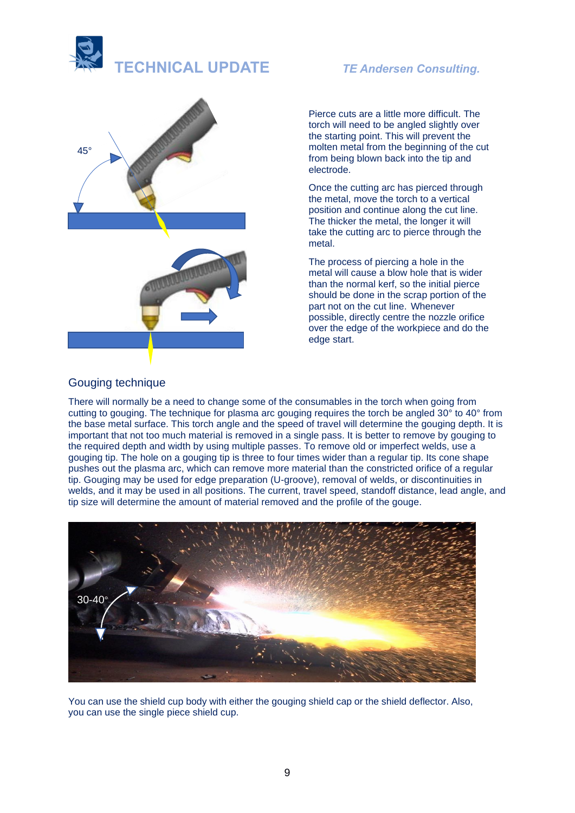



Pierce cuts are a little more difficult. The torch will need to be angled slightly over the starting point. This will prevent the molten metal from the beginning of the cut from being blown back into the tip and electrode.

Once the cutting arc has pierced through the metal, move the torch to a vertical position and continue along the cut line. The thicker the metal, the longer it will take the cutting arc to pierce through the metal.

The process of piercing a hole in the metal will cause a blow hole that is wider than the normal kerf, so the initial pierce should be done in the scrap portion of the part not on the cut line. Whenever possible, directly centre the nozzle orifice over the edge of the workpiece and do the edge start.

### Gouging technique

There will normally be a need to change some of the consumables in the torch when going from cutting to gouging. The technique for plasma arc gouging requires the torch be angled 30° to 40° from the base metal surface. This torch angle and the speed of travel will determine the gouging depth. It is important that not too much material is removed in a single pass. It is better to remove by gouging to the required depth and width by using multiple passes. To remove old or imperfect welds, use a gouging tip. The hole on a gouging tip is three to four times wider than a regular tip. Its cone shape pushes out the plasma arc, which can remove more material than the constricted orifice of a regular tip. Gouging may be used for edge preparation (U-groove), removal of welds, or discontinuities in welds, and it may be used in all positions. The current, travel speed, standoff distance, lead angle, and tip size will determine the amount of material removed and the profile of the gouge.



You can use the shield cup body with either the gouging shield cap or the shield deflector. Also, you can use the single piece shield cup.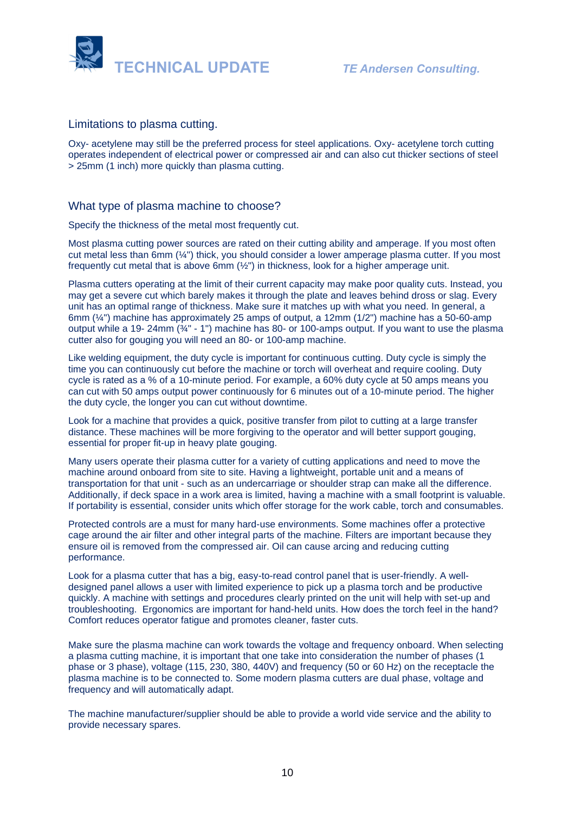

#### Limitations to plasma cutting.

Oxy- acetylene may still be the preferred process for steel applications. Oxy- acetylene torch cutting operates independent of electrical power or compressed air and can also cut thicker sections of steel > 25mm (1 inch) more quickly than plasma cutting.

### What type of plasma machine to choose?

Specify the thickness of the metal most frequently cut.

Most plasma cutting power sources are rated on their cutting ability and amperage. If you most often cut metal less than 6mm  $(\frac{1}{4})$  thick, you should consider a lower amperage plasma cutter. If you most frequently cut metal that is above 6mm (½") in thickness, look for a higher amperage unit.

Plasma cutters operating at the limit of their current capacity may make poor quality cuts. Instead, you may get a severe cut which barely makes it through the plate and leaves behind dross or slag. Every unit has an optimal range of thickness. Make sure it matches up with what you need. In general, a 6mm (¼") machine has approximately 25 amps of output, a 12mm (1/2") machine has a 50-60-amp output while a 19- 24mm ( $\frac{3}{4}$ " - 1") machine has 80- or 100-amps output. If you want to use the plasma cutter also for gouging you will need an 80- or 100-amp machine.

Like welding equipment, the duty cycle is important for continuous cutting. Duty cycle is simply the time you can continuously cut before the machine or torch will overheat and require cooling. Duty cycle is rated as a % of a 10-minute period. For example, a 60% duty cycle at 50 amps means you can cut with 50 amps output power continuously for 6 minutes out of a 10-minute period. The higher the duty cycle, the longer you can cut without downtime.

Look for a machine that provides a quick, positive transfer from pilot to cutting at a large transfer distance. These machines will be more forgiving to the operator and will better support gouging, essential for proper fit-up in heavy plate gouging.

Many users operate their plasma cutter for a variety of cutting applications and need to move the machine around onboard from site to site. Having a lightweight, portable unit and a means of transportation for that unit - such as an undercarriage or shoulder strap can make all the difference. Additionally, if deck space in a work area is limited, having a machine with a small footprint is valuable. If portability is essential, consider units which offer storage for the work cable, torch and consumables.

Protected controls are a must for many hard-use environments. Some machines offer a protective cage around the air filter and other integral parts of the machine. Filters are important because they ensure oil is removed from the compressed air. Oil can cause arcing and reducing cutting performance.

Look for a plasma cutter that has a big, easy-to-read control panel that is user-friendly. A welldesigned panel allows a user with limited experience to pick up a plasma torch and be productive quickly. A machine with settings and procedures clearly printed on the unit will help with set-up and troubleshooting. Ergonomics are important for hand-held units. How does the torch feel in the hand? Comfort reduces operator fatigue and promotes cleaner, faster cuts.

Make sure the plasma machine can work towards the voltage and frequency onboard. When selecting a plasma cutting machine, it is important that one take into consideration the number of phases (1 phase or 3 phase), voltage (115, 230, 380, 440V) and frequency (50 or 60 Hz) on the receptacle the plasma machine is to be connected to. Some modern plasma cutters are dual phase, voltage and frequency and will automatically adapt.

The machine manufacturer/supplier should be able to provide a world vide service and the ability to provide necessary spares.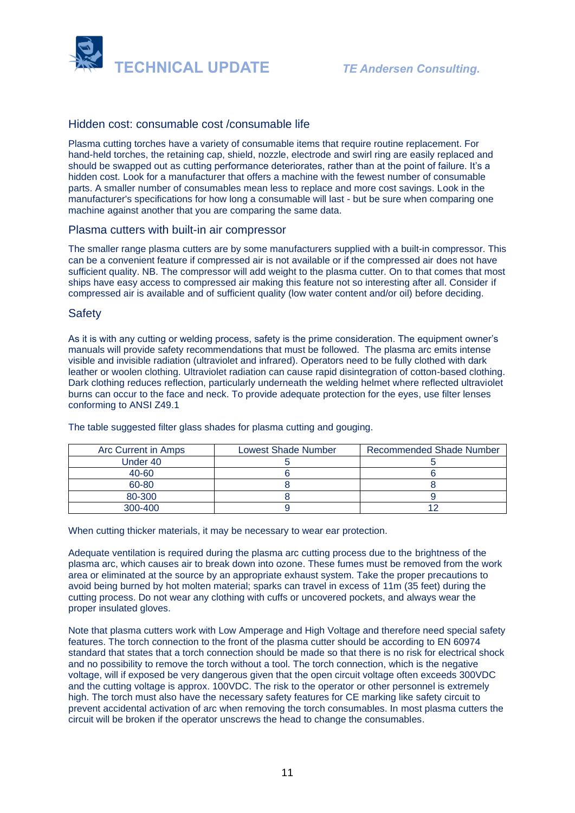

### Hidden cost: consumable cost /consumable life

Plasma cutting torches have a variety of consumable items that require routine replacement. For hand-held torches, the retaining cap, shield, nozzle, electrode and swirl ring are easily replaced and should be swapped out as cutting performance deteriorates, rather than at the point of failure. It's a hidden cost. Look for a manufacturer that offers a machine with the fewest number of consumable parts. A smaller number of consumables mean less to replace and more cost savings. Look in the manufacturer's specifications for how long a consumable will last - but be sure when comparing one machine against another that you are comparing the same data.

#### Plasma cutters with built-in air compressor

The smaller range plasma cutters are by some manufacturers supplied with a built-in compressor. This can be a convenient feature if compressed air is not available or if the compressed air does not have sufficient quality. NB. The compressor will add weight to the plasma cutter. On to that comes that most ships have easy access to compressed air making this feature not so interesting after all. Consider if compressed air is available and of sufficient quality (low water content and/or oil) before deciding.

#### **Safety**

As it is with any cutting or welding process, safety is the prime consideration. The equipment owner's manuals will provide safety recommendations that must be followed. The plasma arc emits intense visible and invisible radiation (ultraviolet and infrared). Operators need to be fully clothed with dark leather or woolen clothing. Ultraviolet radiation can cause rapid disintegration of cotton-based clothing. Dark clothing reduces reflection, particularly underneath the welding helmet where reflected ultraviolet burns can occur to the face and neck. To provide adequate protection for the eyes, use filter lenses conforming to ANSI Z49.1

| Arc Current in Amps | <b>Lowest Shade Number</b> | <b>Recommended Shade Number</b> |
|---------------------|----------------------------|---------------------------------|
| Under 40            |                            |                                 |
| 40-60               |                            |                                 |
| 60-80               |                            |                                 |
| 80-300              |                            |                                 |
| $300 - 400$         |                            |                                 |

The table suggested filter glass shades for plasma cutting and gouging.

When cutting thicker materials, it may be necessary to wear ear protection.

Adequate ventilation is required during the plasma arc cutting process due to the brightness of the plasma arc, which causes air to break down into ozone. These fumes must be removed from the work area or eliminated at the source by an appropriate exhaust system. Take the proper precautions to avoid being burned by hot molten material; sparks can travel in excess of 11m (35 feet) during the cutting process. Do not wear any clothing with cuffs or uncovered pockets, and always wear the proper insulated gloves.

Note that plasma cutters work with Low Amperage and High Voltage and therefore need special safety features. The torch connection to the front of the plasma cutter should be according to EN 60974 standard that states that a torch connection should be made so that there is no risk for electrical shock and no possibility to remove the torch without a tool. The torch connection, which is the negative voltage, will if exposed be very dangerous given that the open circuit voltage often exceeds 300VDC and the cutting voltage is approx. 100VDC. The risk to the operator or other personnel is extremely high. The torch must also have the necessary safety features for CE marking like safety circuit to prevent accidental activation of arc when removing the torch consumables. In most plasma cutters the circuit will be broken if the operator unscrews the head to change the consumables.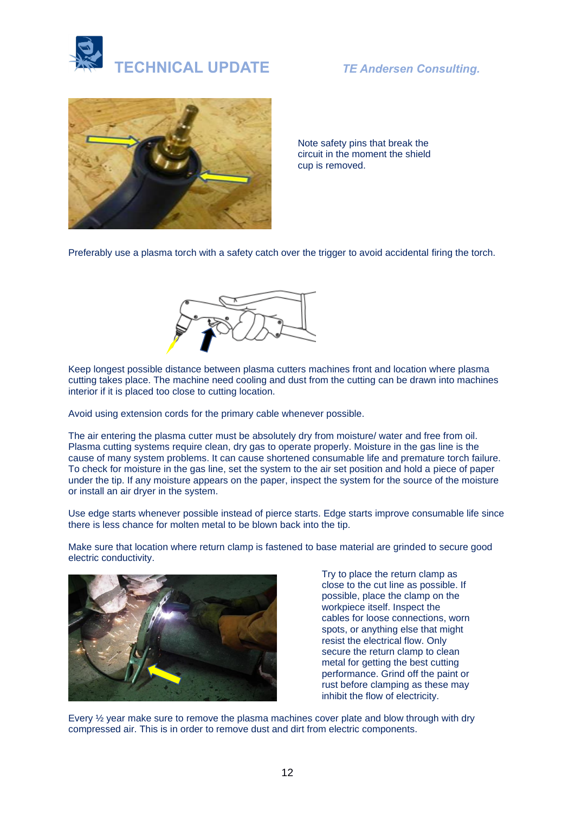



Note safety pins that break the circuit in the moment the shield cup is removed.

Preferably use a plasma torch with a safety catch over the trigger to avoid accidental firing the torch.



Keep longest possible distance between plasma cutters machines front and location where plasma cutting takes place. The machine need cooling and dust from the cutting can be drawn into machines interior if it is placed too close to cutting location.

Avoid using extension cords for the primary cable whenever possible.

The air entering the plasma cutter must be absolutely dry from moisture/ water and free from oil. Plasma cutting systems require clean, dry gas to operate properly. Moisture in the gas line is the cause of many system problems. It can cause shortened consumable life and premature torch failure. To check for moisture in the gas line, set the system to the air set position and hold a piece of paper under the tip. If any moisture appears on the paper, inspect the system for the source of the moisture or install an air dryer in the system.

Use edge starts whenever possible instead of pierce starts. Edge starts improve consumable life since there is less chance for molten metal to be blown back into the tip.

Make sure that location where return clamp is fastened to base material are grinded to secure good electric conductivity.



Try to place the return clamp as close to the cut line as possible. If possible, place the clamp on the workpiece itself. Inspect the cables for loose connections, worn spots, or anything else that might resist the electrical flow. Only secure the return clamp to clean metal for getting the best cutting performance. Grind off the paint or rust before clamping as these may inhibit the flow of electricity.

Every ½ year make sure to remove the plasma machines cover plate and blow through with dry compressed air. This is in order to remove dust and dirt from electric components.